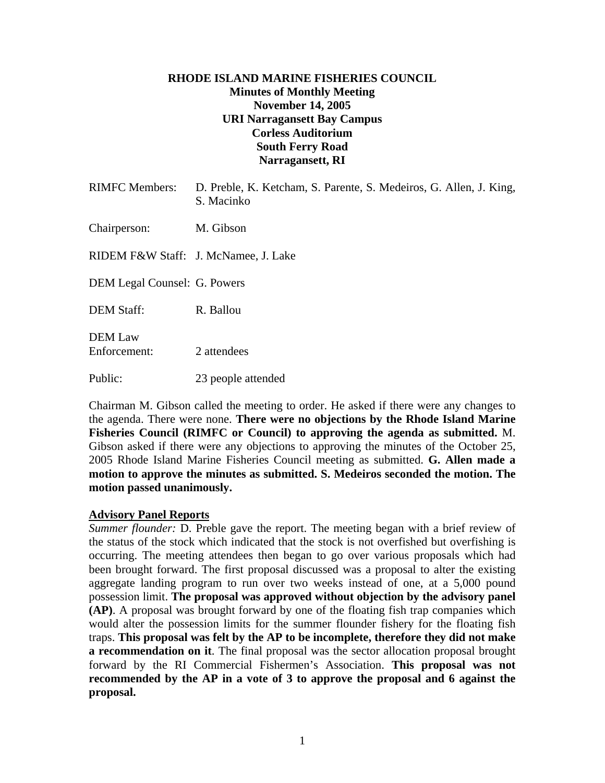# **RHODE ISLAND MARINE FISHERIES COUNCIL Minutes of Monthly Meeting November 14, 2005 URI Narragansett Bay Campus Corless Auditorium South Ferry Road Narragansett, RI**

| <b>RIMFC</b> Members:          | D. Preble, K. Ketcham, S. Parente, S. Medeiros, G. Allen, J. King,<br>S. Macinko |
|--------------------------------|----------------------------------------------------------------------------------|
| Chairperson:                   | M. Gibson                                                                        |
|                                | RIDEM F&W Staff: J. McNamee, J. Lake                                             |
| DEM Legal Counsel: G. Powers   |                                                                                  |
| <b>DEM Staff:</b>              | R. Ballou                                                                        |
| <b>DEM</b> Law<br>Enforcement: | 2 attendees                                                                      |
| Public:                        | 23 people attended                                                               |

Chairman M. Gibson called the meeting to order. He asked if there were any changes to the agenda. There were none. **There were no objections by the Rhode Island Marine Fisheries Council (RIMFC or Council) to approving the agenda as submitted.** M. Gibson asked if there were any objections to approving the minutes of the October 25, 2005 Rhode Island Marine Fisheries Council meeting as submitted. **G. Allen made a motion to approve the minutes as submitted. S. Medeiros seconded the motion. The motion passed unanimously.** 

## **Advisory Panel Reports**

*Summer flounder:* D. Preble gave the report. The meeting began with a brief review of the status of the stock which indicated that the stock is not overfished but overfishing is occurring. The meeting attendees then began to go over various proposals which had been brought forward. The first proposal discussed was a proposal to alter the existing aggregate landing program to run over two weeks instead of one, at a 5,000 pound possession limit. **The proposal was approved without objection by the advisory panel (AP)**. A proposal was brought forward by one of the floating fish trap companies which would alter the possession limits for the summer flounder fishery for the floating fish traps. **This proposal was felt by the AP to be incomplete, therefore they did not make a recommendation on it**. The final proposal was the sector allocation proposal brought forward by the RI Commercial Fishermen's Association. **This proposal was not recommended by the AP in a vote of 3 to approve the proposal and 6 against the proposal.**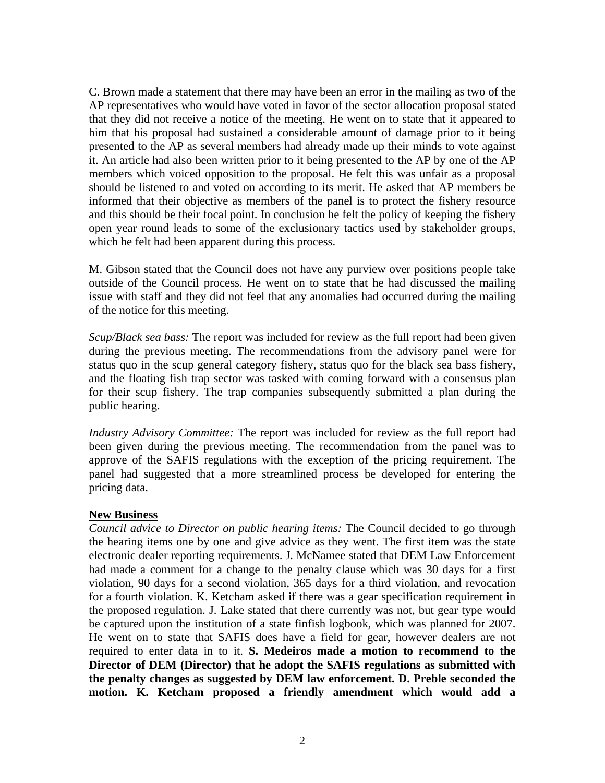C. Brown made a statement that there may have been an error in the mailing as two of the AP representatives who would have voted in favor of the sector allocation proposal stated that they did not receive a notice of the meeting. He went on to state that it appeared to him that his proposal had sustained a considerable amount of damage prior to it being presented to the AP as several members had already made up their minds to vote against it. An article had also been written prior to it being presented to the AP by one of the AP members which voiced opposition to the proposal. He felt this was unfair as a proposal should be listened to and voted on according to its merit. He asked that AP members be informed that their objective as members of the panel is to protect the fishery resource and this should be their focal point. In conclusion he felt the policy of keeping the fishery open year round leads to some of the exclusionary tactics used by stakeholder groups, which he felt had been apparent during this process.

M. Gibson stated that the Council does not have any purview over positions people take outside of the Council process. He went on to state that he had discussed the mailing issue with staff and they did not feel that any anomalies had occurred during the mailing of the notice for this meeting.

*Scup/Black sea bass:* The report was included for review as the full report had been given during the previous meeting. The recommendations from the advisory panel were for status quo in the scup general category fishery, status quo for the black sea bass fishery, and the floating fish trap sector was tasked with coming forward with a consensus plan for their scup fishery. The trap companies subsequently submitted a plan during the public hearing.

*Industry Advisory Committee:* The report was included for review as the full report had been given during the previous meeting. The recommendation from the panel was to approve of the SAFIS regulations with the exception of the pricing requirement. The panel had suggested that a more streamlined process be developed for entering the pricing data.

## **New Business**

*Council advice to Director on public hearing items:* The Council decided to go through the hearing items one by one and give advice as they went. The first item was the state electronic dealer reporting requirements. J. McNamee stated that DEM Law Enforcement had made a comment for a change to the penalty clause which was 30 days for a first violation, 90 days for a second violation, 365 days for a third violation, and revocation for a fourth violation. K. Ketcham asked if there was a gear specification requirement in the proposed regulation. J. Lake stated that there currently was not, but gear type would be captured upon the institution of a state finfish logbook, which was planned for 2007. He went on to state that SAFIS does have a field for gear, however dealers are not required to enter data in to it. **S. Medeiros made a motion to recommend to the Director of DEM (Director) that he adopt the SAFIS regulations as submitted with the penalty changes as suggested by DEM law enforcement. D. Preble seconded the motion. K. Ketcham proposed a friendly amendment which would add a**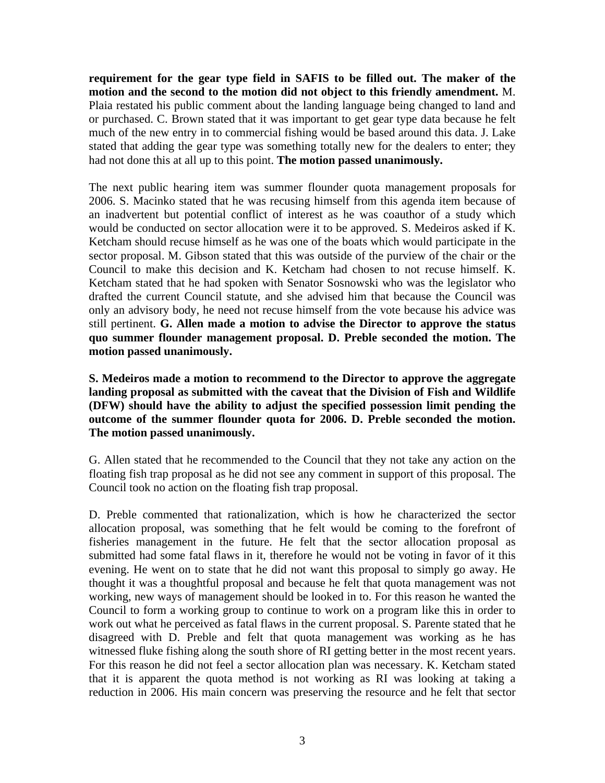**requirement for the gear type field in SAFIS to be filled out. The maker of the motion and the second to the motion did not object to this friendly amendment.** M. Plaia restated his public comment about the landing language being changed to land and or purchased. C. Brown stated that it was important to get gear type data because he felt much of the new entry in to commercial fishing would be based around this data. J. Lake stated that adding the gear type was something totally new for the dealers to enter; they had not done this at all up to this point. **The motion passed unanimously.**

The next public hearing item was summer flounder quota management proposals for 2006. S. Macinko stated that he was recusing himself from this agenda item because of an inadvertent but potential conflict of interest as he was coauthor of a study which would be conducted on sector allocation were it to be approved. S. Medeiros asked if K. Ketcham should recuse himself as he was one of the boats which would participate in the sector proposal. M. Gibson stated that this was outside of the purview of the chair or the Council to make this decision and K. Ketcham had chosen to not recuse himself. K. Ketcham stated that he had spoken with Senator Sosnowski who was the legislator who drafted the current Council statute, and she advised him that because the Council was only an advisory body, he need not recuse himself from the vote because his advice was still pertinent. **G. Allen made a motion to advise the Director to approve the status quo summer flounder management proposal. D. Preble seconded the motion. The motion passed unanimously.** 

**S. Medeiros made a motion to recommend to the Director to approve the aggregate landing proposal as submitted with the caveat that the Division of Fish and Wildlife (DFW) should have the ability to adjust the specified possession limit pending the outcome of the summer flounder quota for 2006. D. Preble seconded the motion. The motion passed unanimously.** 

G. Allen stated that he recommended to the Council that they not take any action on the floating fish trap proposal as he did not see any comment in support of this proposal. The Council took no action on the floating fish trap proposal.

D. Preble commented that rationalization, which is how he characterized the sector allocation proposal, was something that he felt would be coming to the forefront of fisheries management in the future. He felt that the sector allocation proposal as submitted had some fatal flaws in it, therefore he would not be voting in favor of it this evening. He went on to state that he did not want this proposal to simply go away. He thought it was a thoughtful proposal and because he felt that quota management was not working, new ways of management should be looked in to. For this reason he wanted the Council to form a working group to continue to work on a program like this in order to work out what he perceived as fatal flaws in the current proposal. S. Parente stated that he disagreed with D. Preble and felt that quota management was working as he has witnessed fluke fishing along the south shore of RI getting better in the most recent years. For this reason he did not feel a sector allocation plan was necessary. K. Ketcham stated that it is apparent the quota method is not working as RI was looking at taking a reduction in 2006. His main concern was preserving the resource and he felt that sector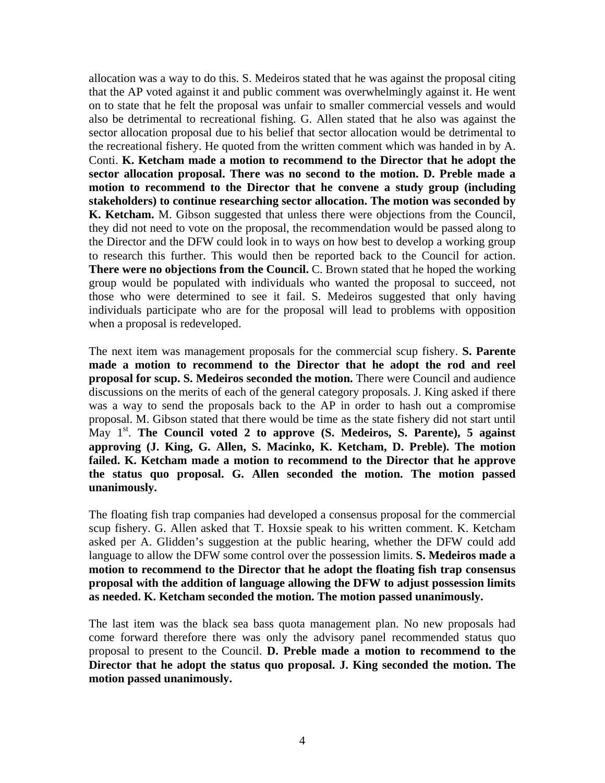allocation was a way to do this. S. Medeiros stated that he was against the proposal citing that the AP voted against it and public comment was overwhelmingly against it. He went on to state that he felt the proposal was unfair to smaller commercial vessels and would also be detrimental to recreational fishing. G. Allen stated that he also was against the sector allocation proposal due to his belief that sector allocation would be detrimental to the recreational fishery. He quoted from the written comment which was handed in by A. Conti. **K. Ketcham made a motion to recommend to the Director that he adopt the sector allocation proposal. There was no second to the motion. D. Preble made a motion to recommend to the Director that he convene a study group (including stakeholders) to continue researching sector allocation. The motion was seconded by K. Ketcham.** M. Gibson suggested that unless there were objections from the Council, they did not need to vote on the proposal, the recommendation would be passed along to the Director and the DFW could look in to ways on how best to develop a working group to research this further. This would then be reported back to the Council for action. **There were no objections from the Council.** C. Brown stated that he hoped the working group would be populated with individuals who wanted the proposal to succeed, not those who were determined to see it fail. S. Medeiros suggested that only having individuals participate who are for the proposal will lead to problems with opposition when a proposal is redeveloped.

The next item was management proposals for the commercial scup fishery. **S. Parente made a motion to recommend to the Director that he adopt the rod and reel proposal for scup. S. Medeiros seconded the motion.** There were Council and audience discussions on the merits of each of the general category proposals. J. King asked if there was a way to send the proposals back to the AP in order to hash out a compromise proposal. M. Gibson stated that there would be time as the state fishery did not start until May 1<sup>st</sup>. The Council voted 2 to approve (S. Medeiros, S. Parente), 5 against **approving (J. King, G. Allen, S. Macinko, K. Ketcham, D. Preble). The motion failed. K. Ketcham made a motion to recommend to the Director that he approve the status quo proposal. G. Allen seconded the motion. The motion passed unanimously.** 

The floating fish trap companies had developed a consensus proposal for the commercial scup fishery. G. Allen asked that T. Hoxsie speak to his written comment. K. Ketcham asked per A. Glidden's suggestion at the public hearing, whether the DFW could add language to allow the DFW some control over the possession limits. **S. Medeiros made a motion to recommend to the Director that he adopt the floating fish trap consensus proposal with the addition of language allowing the DFW to adjust possession limits as needed. K. Ketcham seconded the motion. The motion passed unanimously.**

The last item was the black sea bass quota management plan. No new proposals had come forward therefore there was only the advisory panel recommended status quo proposal to present to the Council. **D. Preble made a motion to recommend to the Director that he adopt the status quo proposal. J. King seconded the motion. The motion passed unanimously.**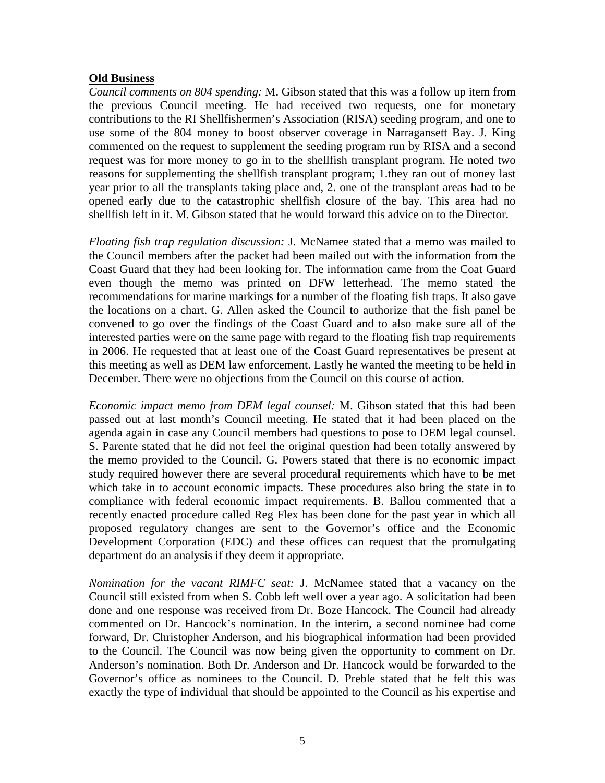## **Old Business**

*Council comments on 804 spending:* M. Gibson stated that this was a follow up item from the previous Council meeting. He had received two requests, one for monetary contributions to the RI Shellfishermen's Association (RISA) seeding program, and one to use some of the 804 money to boost observer coverage in Narragansett Bay. J. King commented on the request to supplement the seeding program run by RISA and a second request was for more money to go in to the shellfish transplant program. He noted two reasons for supplementing the shellfish transplant program; 1.they ran out of money last year prior to all the transplants taking place and, 2. one of the transplant areas had to be opened early due to the catastrophic shellfish closure of the bay. This area had no shellfish left in it. M. Gibson stated that he would forward this advice on to the Director.

*Floating fish trap regulation discussion:* J. McNamee stated that a memo was mailed to the Council members after the packet had been mailed out with the information from the Coast Guard that they had been looking for. The information came from the Coat Guard even though the memo was printed on DFW letterhead. The memo stated the recommendations for marine markings for a number of the floating fish traps. It also gave the locations on a chart. G. Allen asked the Council to authorize that the fish panel be convened to go over the findings of the Coast Guard and to also make sure all of the interested parties were on the same page with regard to the floating fish trap requirements in 2006. He requested that at least one of the Coast Guard representatives be present at this meeting as well as DEM law enforcement. Lastly he wanted the meeting to be held in December. There were no objections from the Council on this course of action.

*Economic impact memo from DEM legal counsel:* M. Gibson stated that this had been passed out at last month's Council meeting. He stated that it had been placed on the agenda again in case any Council members had questions to pose to DEM legal counsel. S. Parente stated that he did not feel the original question had been totally answered by the memo provided to the Council. G. Powers stated that there is no economic impact study required however there are several procedural requirements which have to be met which take in to account economic impacts. These procedures also bring the state in to compliance with federal economic impact requirements. B. Ballou commented that a recently enacted procedure called Reg Flex has been done for the past year in which all proposed regulatory changes are sent to the Governor's office and the Economic Development Corporation (EDC) and these offices can request that the promulgating department do an analysis if they deem it appropriate.

*Nomination for the vacant RIMFC seat:* J. McNamee stated that a vacancy on the Council still existed from when S. Cobb left well over a year ago. A solicitation had been done and one response was received from Dr. Boze Hancock. The Council had already commented on Dr. Hancock's nomination. In the interim, a second nominee had come forward, Dr. Christopher Anderson, and his biographical information had been provided to the Council. The Council was now being given the opportunity to comment on Dr. Anderson's nomination. Both Dr. Anderson and Dr. Hancock would be forwarded to the Governor's office as nominees to the Council. D. Preble stated that he felt this was exactly the type of individual that should be appointed to the Council as his expertise and